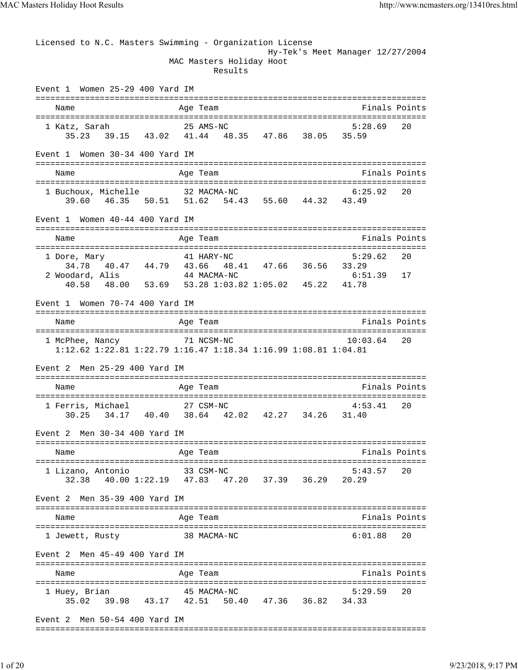| Licensed to N.C. Masters Swimming - Organization License                                         |          |                                     | Hy-Tek's Meet Manager 12/27/2004 |               |
|--------------------------------------------------------------------------------------------------|----------|-------------------------------------|----------------------------------|---------------|
|                                                                                                  |          | MAC Masters Holiday Hoot<br>Results |                                  |               |
| Event 1 Women 25-29 400 Yard IM                                                                  |          |                                     |                                  |               |
| Name                                                                                             |          | Age Team                            | Finals Points                    |               |
| 25 AMS-NC<br>1 Katz, Sarah                                                                       |          |                                     | 5:28.69                          | 20            |
| 35.23 39.15 43.02 41.44 48.35 47.86 38.05 35.59                                                  |          |                                     |                                  |               |
| Event 1 Women 30-34 400 Yard IM                                                                  |          |                                     |                                  |               |
| Name                                                                                             |          | Age Team                            | Finals Points                    |               |
|                                                                                                  |          |                                     | 6:25.92                          | 20            |
| 1 Buchoux, Michelle 32 MACMA-NC<br>39.60 46.35 50.51 51.62 54.43 55.60 44.32 43.49               |          |                                     |                                  |               |
| Event 1 Women 40-44 400 Yard IM                                                                  |          |                                     |                                  |               |
| Name                                                                                             |          | Age Team                            | Finals Points                    |               |
|                                                                                                  |          |                                     | 5:29.62                          | 20            |
| 1 Dore, Mary 44.79 41 HARY-NC 5:2<br>34.78 40.47 44.79 43.66 48.41 47.66 36.56 33.29             |          |                                     |                                  |               |
| 2 Woodard, Alis<br>40.58  48.00  53.69  53.28  1:03.82  1:05.02  45.22  41.78                    |          | 44 MACMA-NC                         | $6:51.39$ 17                     |               |
|                                                                                                  |          |                                     |                                  |               |
| Event 1 Women 70-74 400 Yard IM                                                                  |          |                                     |                                  |               |
| Name                                                                                             |          | Age Team                            | Finals Points                    |               |
| 71 NCSM-NC<br>1 McPhee, Nancy<br>1:12.62 1:22.81 1:22.79 1:16.47 1:18.34 1:16.99 1:08.81 1:04.81 |          |                                     | 10:03.64                         | 20            |
|                                                                                                  |          |                                     |                                  |               |
| Event 2 Men 25-29 400 Yard IM                                                                    |          |                                     |                                  |               |
| Name                                                                                             | Age Team |                                     | Finals Points                    |               |
| 1 Ferris. Michael                                                                                |          | 27 CSM-NC                           | 4:53.41                          | 20            |
| 30.25 34.17 40.40 38.64 42.02 42.27 34.26 31.40                                                  |          |                                     |                                  |               |
| Event 2 Men 30-34 400 Yard IM                                                                    |          |                                     |                                  |               |
| Name                                                                                             |          | Age Team                            |                                  | Finals Points |
| 1 Lizano, Antonio                                                                                |          | 33 CSM-NC                           | 5:43.57                          | 20            |
| 32.38 40.00 1:22.19 47.83 47.20 37.39 36.29                                                      |          |                                     | 20.29                            |               |
| Event 2 Men 35-39 400 Yard IM                                                                    |          |                                     |                                  |               |
| Name                                                                                             |          | Age Team                            |                                  | Finals Points |
| 1 Jewett, Rusty                                                                                  |          | 38 MACMA-NC                         | 6:01.88                          | 20            |
| Men 45-49 400 Yard IM<br>Event 2                                                                 |          |                                     |                                  |               |
| Name                                                                                             |          | Age Team                            | Finals Points                    |               |
| 1 Huey, Brian                                                                                    |          | 45 MACMA-NC                         | 5:29.59                          | 20            |
| 39.98 43.17 42.51 50.40 47.36 36.82 34.33<br>35.02                                               |          |                                     |                                  |               |
| Event 2 Men 50-54 400 Yard IM                                                                    |          |                                     |                                  |               |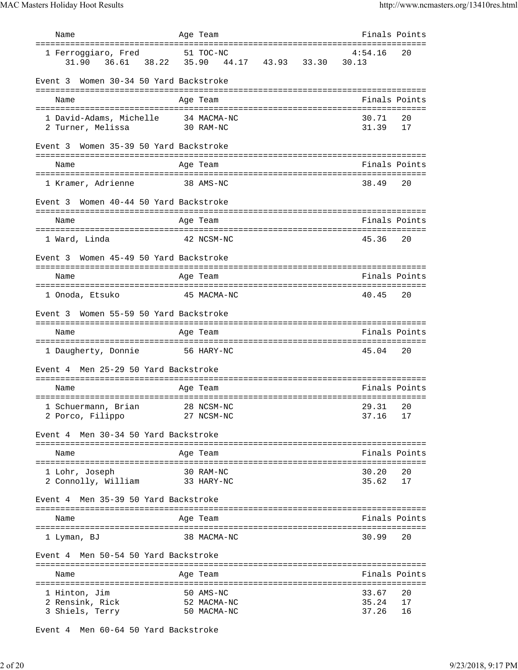| Name                                               | Age Team                                         | Finals Points     |          |
|----------------------------------------------------|--------------------------------------------------|-------------------|----------|
| 1 Ferroqqiaro, Fred<br>31.90                       | 51 TOC-NC<br>36.61 38.22 35.90 44.17 43.93 33.30 | 4:54.16<br>30.13  | 20       |
| Event 3 Women 30-34 50 Yard Backstroke             |                                                  |                   |          |
| Name                                               | Age Team                                         | Finals Points     |          |
| 1 David-Adams, Michelle 34 MACMA-NC                |                                                  | 30.71             | 20       |
| 2 Turner, Melissa                                  | 30 RAM-NC                                        | 31.39             | 17       |
| Women 35-39 50 Yard Backstroke<br>Event 3          |                                                  |                   |          |
| Name                                               | Age Team                                         | Finals Points     |          |
| 1 Kramer, Adrienne                                 | 38 AMS-NC                                        | 38.49             | 20       |
| Women 40-44 50 Yard Backstroke<br>Event 3          |                                                  |                   |          |
| Name                                               | Age Team                                         | Finals Points     |          |
| 1 Ward, Linda                                      | 42 NCSM-NC                                       | 45.36             | 20       |
|                                                    |                                                  |                   |          |
| Women 45-49 50 Yard Backstroke<br>Event 3          |                                                  |                   |          |
| Name                                               | Age Team                                         | Finals Points     |          |
| 1 Onoda, Etsuko                                    | 45 MACMA-NC                                      | 40.45             | 20       |
| Women 55-59 50 Yard Backstroke<br>Event 3          |                                                  |                   |          |
|                                                    |                                                  |                   |          |
| Name                                               | Age Team                                         | Finals Points     |          |
| 1 Daugherty, Donnie 56 HARY-NC                     |                                                  | 45.04             | 20       |
| Men 25-29 50 Yard Backstroke<br>Event 4            |                                                  |                   |          |
| Name                                               |                                                  | Finals Points     |          |
|                                                    | Age Team                                         |                   |          |
| 1 Schuermann, Brian 28 NCSM-NC<br>2 Porco, Filippo | 27 NCSM-NC                                       | 29.31 20<br>37.16 | 17       |
| Men 30-34 50 Yard Backstroke<br>Event 4            |                                                  |                   |          |
| Name                                               | Age Team                                         | Finals Points     |          |
|                                                    |                                                  |                   |          |
| 1 Lohr, Joseph<br>2 Connolly, William              | 30 RAM-NC<br>33 HARY-NC                          | 30.20<br>35.62    | 20<br>17 |
| Men 35-39 50 Yard Backstroke<br>Event 4            |                                                  |                   |          |
| Name                                               | Age Team                                         | Finals Points     |          |
| 1 Lyman, BJ                                        | 38 MACMA-NC                                      | 30.99             | 20       |
| Men 50-54 50 Yard Backstroke<br>Event 4            |                                                  |                   |          |
|                                                    |                                                  |                   |          |
| Name                                               | Age Team                                         | Finals Points     |          |
| 1 Hinton, Jim<br>2 Rensink, Rick                   | 50 AMS-NC<br>52 MACMA-NC                         | 33.67<br>35.24    | 20<br>17 |

Event 4 Men 60-64 50 Yard Backstroke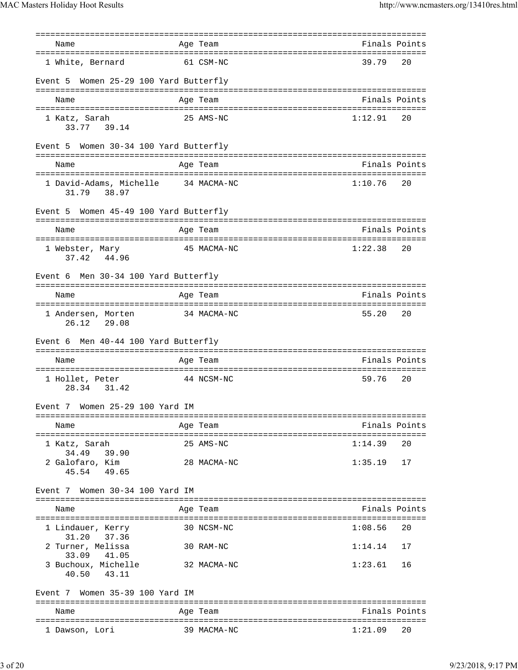=============================================================================== Name **Age Team Age Team** Rinals Points =============================================================================== 1 White, Bernard 61 CSM-NC 39.79 Event 5 Women 25-29 100 Yard Butterfly =============================================================================== Name **Age Team Age Team** Rinals Points =============================================================================== 1 Katz, Sarah 25 AMS-NC 1:12.91 20 33.77 39.14 Event 5 Women 30-34 100 Yard Butterfly =============================================================================== Name Age Team Age Team Finals Points =============================================================================== 1 David-Adams, Michelle 34 MACMA-NC 31.79 38.97 Event 5 Women 45-49 100 Yard Butterfly =============================================================================== Name Age Team Finals Points =============================================================================== 1 Webster, Mary 15 MACMA-NC 37.42 44.96 Event 6 Men 30-34 100 Yard Butterfly =============================================================================== Name Age Team Age Team Finals Points =============================================================================== 1 Andersen, Morten 34 MACMA-NC 55.20 20 26.12 29.08 Event 6 Men 40-44 100 Yard Butterfly =============================================================================== Name **Age Team** Age Team **Finals Points** =============================================================================== 1 Hollet, Peter 44 NCSM-NC 28.34 31.42 Event 7 Women 25-29 100 Yard IM =============================================================================== Name Age Team Finals Points =============================================================================== 1 Katz, Sarah 25 AMS-NC 1:14.39 20 34.49 39.90 2 Galofaro, Kim 28 MACMA-NC 1:35.19 17 45.54 49.65 Event 7 Women 30-34 100 Yard IM =============================================================================== Name Age Team Finals Points =============================================================================== 1 Lindauer, Kerry 30 NCSM-NC 1:08.56 20 31.20 37.36 2 Turner, Melissa 30 RAM-NC 1:14.14 17 33.09 41.05 3 Buchoux, Michelle 32 MACMA-NC 1:23.61 16 40.50 43.11 Event 7 Women 35-39 100 Yard IM =============================================================================== Name **Age Team Age Team** Rinals Points =============================================================================== 1 Dawson, Lori 39 MACMA-NC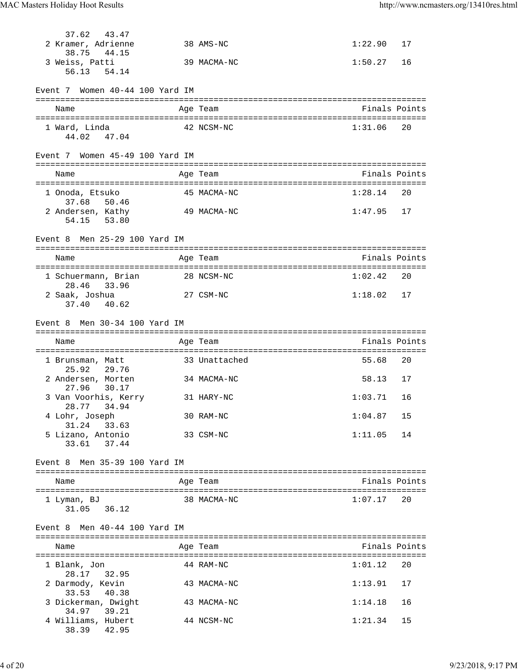| 37.62<br>43.47                       |               |         |               |
|--------------------------------------|---------------|---------|---------------|
| 2 Kramer, Adrienne                   | 38 AMS-NC     | 1:22.90 | 17            |
| 38.75<br>44.15                       |               |         |               |
| 3 Weiss, Patti                       | 39 MACMA-NC   | 1:50.27 | 16            |
| 56.13<br>54.14                       |               |         |               |
| Event 7 Women 40-44 100 Yard IM      |               |         |               |
| Name                                 | Age Team      |         | Finals Points |
|                                      |               |         |               |
| 1 Ward, Linda<br>44.02<br>47.04      | 42 NCSM-NC    | 1:31.06 | 20            |
| Event 7 Women 45-49 100 Yard IM      |               |         |               |
|                                      |               |         |               |
| Name                                 | Age Team      |         | Finals Points |
| 1 Onoda, Etsuko                      | 45 MACMA-NC   | 1:28.14 | 20            |
| 37.68<br>50.46                       |               |         |               |
| 2 Andersen, Kathy                    | 49 MACMA-NC   | 1:47.95 | 17            |
| 53.80<br>54.15                       |               |         |               |
|                                      |               |         |               |
| Event 8 Men 25-29 100 Yard IM        |               |         |               |
| Name                                 | Age Team      |         | Finals Points |
|                                      |               |         |               |
| 1 Schuermann, Brian                  | 28 NCSM-NC    | 1:02.42 | 20            |
| 28.46 33.96                          |               |         |               |
| 2 Saak, Joshua                       | 27 CSM-NC     | 1:18.02 | 17            |
| 37.40 40.62                          |               |         |               |
| Event 8 Men 30-34 100 Yard IM        |               |         |               |
|                                      |               |         |               |
| Name                                 | Age Team      |         | Finals Points |
|                                      |               |         |               |
| 1 Brunsman, Matt                     | 33 Unattached | 55.68   | 20            |
| 29.76<br>25.92<br>2 Andersen, Morten | 34 MACMA-NC   | 58.13   | 17            |
| 27.96<br>30.17                       |               |         |               |
| 3 Van Voorhis, Kerry                 | 31 HARY-NC    | 1:03.71 | 16            |
| 34.94<br>28.77                       |               |         |               |
| 4 Lohr, Joseph                       | 30 RAM-NC     | 1:04.87 | 15            |
| 31.24<br>33.63                       |               | 1:11.05 | 14            |
| 5 Lizano, Antonio<br>33.61<br>37.44  | 33 CSM-NC     |         |               |
|                                      |               |         |               |
| Event 8 Men 35-39 100 Yard IM        |               |         |               |
|                                      |               |         |               |
| Name                                 | Age Team      |         | Finals Points |
| 1 Lyman, BJ                          | 38 MACMA-NC   | 1:07.17 | 20            |
| 31.05<br>36.12                       |               |         |               |
|                                      |               |         |               |
| Event 8 Men 40-44 100 Yard IM        |               |         |               |
|                                      |               |         |               |
| Name                                 | Age Team      |         | Finals Points |
| 1 Blank, Jon                         | 44 RAM-NC     | 1:01.12 | 20            |
| 28.17<br>32.95                       |               |         |               |
| 2 Darmody, Kevin                     | 43 MACMA-NC   | 1:13.91 | 17            |
| 33.53<br>40.38                       |               |         |               |
| 3 Dickerman, Dwight                  | 43 MACMA-NC   | 1:14.18 | 16            |
| 39.21<br>34.97                       |               |         | 15            |
| 4 Williams, Hubert                   | 44 NCSM-NC    | 1:21.34 |               |
| 38.39<br>42.95                       |               |         |               |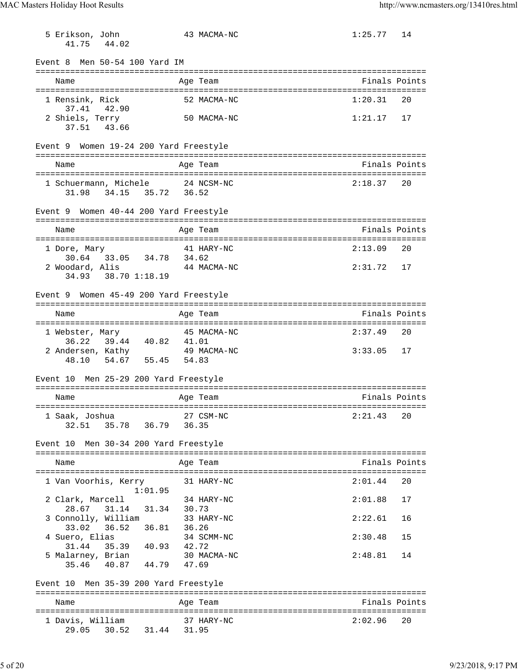5 Erikson, John 43 MACMA-NC 1:25.77 14 41.75 44.02 Event 8 Men 50-54 100 Yard IM =============================================================================== Name **Age Team** Age Team **Finals Points** =============================================================================== 1 Rensink, Rick 52 MACMA-NC 1:20.31 20 37.41 42.90 2 Shiels, Terry 50 MACMA-NC 1:21.17 17 37.51 43.66 Event 9 Women 19-24 200 Yard Freestyle =============================================================================== Name Age Team Finals Points =============================================================================== 1 Schuermann, Michele 24 NCSM-NC 31.98 34.15 35.72 36.52 Event 9 Women 40-44 200 Yard Freestyle =============================================================================== Name Age Team Finals Points =============================================================================== 1 Dore, Mary 41 HARY-NC 2:13.09 20 30.64 33.05 34.78 34.62 2 Woodard, Alis 44 MACMA-NC 2:31.72 17 34.93 38.70 1:18.19 Event 9 Women 45-49 200 Yard Freestyle =============================================================================== Name Age Team Finals Points =============================================================================== 1 Webster, Mary 45 MACMA-NC 2:37.49 20 36.22 39.44 40.82 41.01 2 Andersen, Kathy 49 MACMA-NC 3:33.05 17  $48.10$  54.67 55.45 54.83 Event 10 Men 25-29 200 Yard Freestyle =============================================================================== Name Age Team Age Team Finals Points =============================================================================== 1 Saak, Joshua 27 CSM-NC 2:21.43 20 32.51 35.78 36.79 36.35 Event 10 Men 30-34 200 Yard Freestyle =============================================================================== Name **Age Team Age Team** Rinals Points =============================================================================== 1 Van Voorhis, Kerry 31 HARY-NC 2:01.44 20 1:01.95 2 Clark, Marcell 34 HARY-NC 2:01.88 17 28.67 31.14 31.34 30.73 3 Connolly, William 33 HARY-NC 2:22.61 16 33.02 36.52 36.81 36.26 4 Suero, Elias 34 SCMM-NC 2:30.48 15 31.44 35.39 40.93 42.72 5 Malarney, Brian 30 MACMA-NC 2:48.81 14 35.46 40.87 44.79 47.69 Event 10 Men 35-39 200 Yard Freestyle =============================================================================== Name **Age Team** Age Team **Finals Points** =============================================================================== 1 Davis, William 37 HARY-NC 2:02.96 20 29.05 30.52 31.44 31.95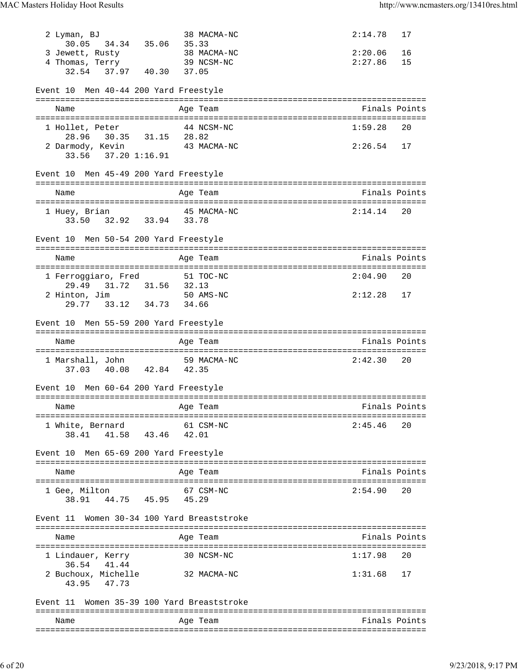2 Lyman, BJ 38 MACMA-NC 2:14.78 17 30.05 34.34 35.06 35.33 3 Jewett, Rusty 38 MACMA-NC 2:20.06 16 4 Thomas, Terry 39 NCSM-NC 2:27.86 15 32.54 37.97 40.30 37.05 Event 10 Men 40-44 200 Yard Freestyle =============================================================================== Name Age Team Finals Points =============================================================================== 1 Hollet, Peter 44 NCSM-NC 1:59.28 20 28.96 30.35 31.15 28.82 2 Darmody, Kevin 43 MACMA-NC 2:26.54 17 33.56 37.20 1:16.91 Event 10 Men 45-49 200 Yard Freestyle =============================================================================== Name **Age Team** Age Team **Finals Points** Points =============================================================================== 1 Huey, Brian 6 6 45 MACMA-NC 6 2:14.14 20 33.50 32.92 33.94 33.78 Event 10 Men 50-54 200 Yard Freestyle =============================================================================== Name Age Team Age Team Finals Points =============================================================================== 1 Ferroggiaro, Fred 51 TOC-NC 2:04.90 20 29.49 31.72 31.56 32.13 2 Hinton, Jim 50 AMS-NC 2:12.28 17 29.77 33.12 34.73 34.66 Event 10 Men 55-59 200 Yard Freestyle =============================================================================== Name Age Team Finals Points =============================================================================== 1 Marshall, John 59 MACMA-NC 2:42.30 20 37.03 40.08 42.84 42.35 Event 10 Men 60-64 200 Yard Freestyle =============================================================================== Name Age Team =============================================================================== 1 White, Bernard 61 CSM-NC 2:45.46 20 38.41 41.58 43.46 42.01 Event 10 Men 65-69 200 Yard Freestyle =============================================================================== Name Age Team Age Team Finals Points =============================================================================== 1 Gee, Milton 67 CSM-NC 2:54.90 38.91 44.75 45.95 45.29 Event 11 Women 30-34 100 Yard Breaststroke =============================================================================== Name Age Team Finals Points =============================================================================== 1 Lindauer, Kerry 30 NCSM-NC 1:17.98 20 36.54 41.44 2 Buchoux, Michelle 32 MACMA-NC 1:31.68 17 43.95 47.73 Event 11 Women 35-39 100 Yard Breaststroke =============================================================================== Name Age Team Finals Points ===============================================================================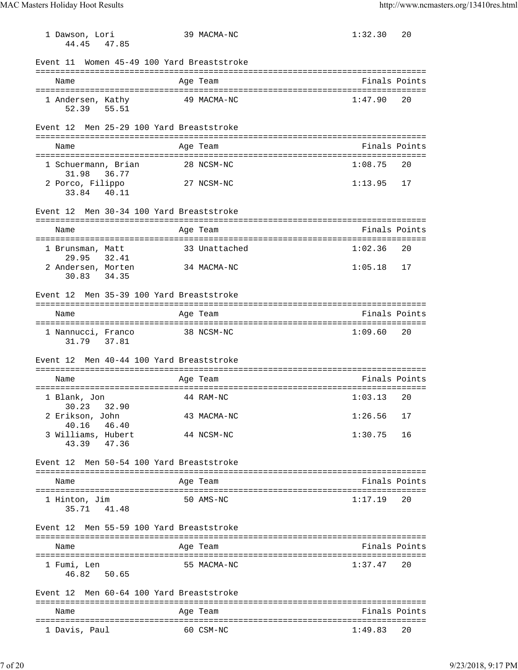1 Dawson, Lori 39 MACMA-NC 1:32.30 20 44.45 47.85 Event 11 Women 45-49 100 Yard Breaststroke =============================================================================== Name Age Team Age Team Finals Points =============================================================================== 1 Andersen, Kathy 49 MACMA-NC 1:47.90 20 52.39 55.51 Event 12 Men 25-29 100 Yard Breaststroke =============================================================================== Name Age Team Age Team Finals Points =============================================================================== 1 Schuermann, Brian 28 NCSM-NC 31.98 36.77 2 Porco, Filippo 27 NCSM-NC 1:13.95 17 33.84 40.11 Event 12 Men 30-34 100 Yard Breaststroke =============================================================================== Name Age Team Finals Points =============================================================================== 1 Brunsman, Matt 33 Unattached 1:02.36 20 29.95 32.41 2 Andersen, Morten 34 MACMA-NC 1:05.18 17 30.83 34.35 Event 12 Men 35-39 100 Yard Breaststroke =============================================================================== Name Age Team Finals Points =============================================================================== 1 Nannucci, Franco 38 NCSM-NC 1:09.60 20 31.79 37.81 Event 12 Men 40-44 100 Yard Breaststroke =============================================================================== Name Age Team Age Team Finals Points =============================================================================== 1 Blank, Jon 44 RAM-NC 1:03.13 20 30.23 32.90 2 Erikson, John 43 MACMA-NC 1:26.56 17 40.16 46.40 3 Williams, Hubert 44 NCSM-NC 1:30.75 16 43.39 47.36 Event 12 Men 50-54 100 Yard Breaststroke =============================================================================== Name Age Team Finals Points =============================================================================== 1 Hinton, Jim 50 AMS-NC 1:17.19 20 35.71 41.48 Event 12 Men 55-59 100 Yard Breaststroke =============================================================================== Name Age Team Finals Points =============================================================================== 1 Fumi, Len 55 MACMA-NC 1:37.47 20 46.82 50.65 Event 12 Men 60-64 100 Yard Breaststroke =============================================================================== Name Age Team Finals Points =============================================================================== 1 Davis, Paul 60 CSM-NC 1:49.83 20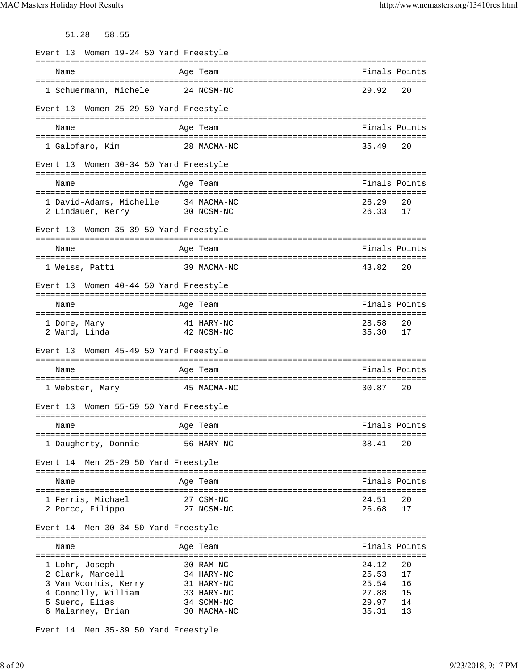51.28 58.55

|                                                          | Event 13 Women 19-24 50 Yard Freestyle |                          |                |               |
|----------------------------------------------------------|----------------------------------------|--------------------------|----------------|---------------|
| Name                                                     |                                        | Age Team                 | Finals Points  |               |
| 1 Schuermann, Michele                                    |                                        | 24 NCSM-NC               | 29.92          | 20            |
| Event 13 Women 25-29 50 Yard Freestyle                   |                                        |                          |                |               |
| Name                                                     |                                        | Age Team                 | Finals Points  |               |
| 1 Galofaro, Kim                                          |                                        | 28 MACMA-NC              | 35.49          | 20            |
| Event 13 Women 30-34 50 Yard Freestyle                   |                                        |                          |                |               |
| Name                                                     |                                        | Age Team                 | Finals Points  |               |
| 1 David-Adams, Michelle 34 MACMA-NC<br>2 Lindauer, Kerry |                                        | 30 NCSM-NC               | 26.29<br>26.33 | 20<br>17      |
| Event 13 Women 35-39 50 Yard Freestyle                   |                                        |                          |                |               |
| Name                                                     |                                        | Age Team                 | Finals Points  |               |
| 1 Weiss, Patti                                           |                                        | 39 MACMA-NC              | 43.82          | 20            |
| Event 13 Women 40-44 50 Yard Freestyle                   |                                        |                          |                |               |
| Name                                                     |                                        | Age Team                 | Finals Points  |               |
| 1 Dore, Mary<br>2 Ward, Linda                            |                                        | 41 HARY-NC<br>42 NCSM-NC | 28.58<br>35.30 | 20<br>17      |
| Event 13 Women 45-49 50 Yard Freestyle                   |                                        |                          |                |               |
| Name                                                     |                                        | Age Team                 | Finals Points  |               |
| 1 Webster, Mary                                          |                                        | 45 MACMA-NC              | 30.87          | 20            |
|                                                          |                                        |                          |                |               |
| Women 55-59 50 Yard Freestyle<br>Event 13                |                                        |                          |                |               |
| Name                                                     |                                        | Age Team                 | Finals Points  |               |
| 1 Daugherty, Donnie                                      |                                        | 56 HARY-NC               | 38.41          | 20            |
| Event 14 Men 25-29 50 Yard Freestyle                     |                                        |                          |                |               |
| Name                                                     |                                        | Age Team                 |                | Finals Points |
| 1 Ferris, Michael<br>2 Porco, Filippo                    |                                        | 27 CSM-NC<br>27 NCSM-NC  | 24.51<br>26.68 | 20<br>17      |
| Men 30-34 50 Yard Freestyle<br>Event 14                  |                                        |                          |                |               |
| Name                                                     |                                        | Age Team                 | Finals Points  |               |
| 1 Lohr, Joseph                                           |                                        | 30 RAM-NC                | 24.12          | 20            |
| 2 Clark, Marcell                                         |                                        | 34 HARY-NC               | 25.53          | 17            |
| 3 Van Voorhis, Kerry                                     |                                        | 31 HARY-NC               | 25.54          | 16            |
| 4 Connolly, William<br>5 Suero, Elias                    |                                        | 33 HARY-NC<br>34 SCMM-NC | 27.88<br>29.97 | 15<br>14      |

Event 14 Men 35-39 50 Yard Freestyle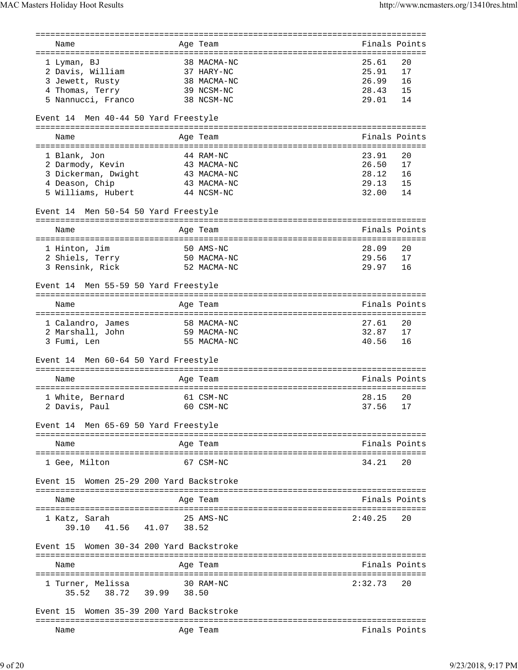|                                              | =========                            | ============================                            |
|----------------------------------------------|--------------------------------------|---------------------------------------------------------|
| Name<br>==================================== | Age Team                             | Finals Points<br>====================================== |
|                                              | 38 MACMA-NC                          | 25.61<br>20                                             |
| 1 Lyman, BJ                                  |                                      | 17                                                      |
| 2 Davis, William                             | 37 HARY-NC                           | 25.91                                                   |
| 3 Jewett, Rusty                              | 38 MACMA-NC                          | 26.99<br>16<br>28.43                                    |
| 4 Thomas, Terry                              | 39 NCSM-NC                           | 15                                                      |
| 5 Nannucci, Franco                           | 38 NCSM-NC                           | 29.01<br>14                                             |
| Event 14 Men 40-44 50 Yard Freestyle         |                                      | ===========================                             |
| Name                                         | Age Team                             | Finals Points                                           |
| =====================================        |                                      | ===================================                     |
| 1 Blank, Jon                                 | 44 RAM-NC                            | 23.91<br>20                                             |
| 2 Darmody, Kevin                             | 43 MACMA-NC                          | 26.50<br>17                                             |
| 3 Dickerman, Dwight                          | 43 MACMA-NC                          | 28.12<br>16                                             |
| 4 Deason, Chip                               | 43 MACMA-NC                          | 29.13<br>15                                             |
| 5 Williams, Hubert                           | 44 NCSM-NC                           | 32.00<br>14                                             |
| Event 14 Men 50-54 50 Yard Freestyle         |                                      |                                                         |
|                                              |                                      |                                                         |
| Name                                         | Age Team                             | Finals Points                                           |
| 1 Hinton, Jim                                | 50 AMS-NC                            | 28.09<br>20                                             |
| 2 Shiels, Terry                              | 50 MACMA-NC                          | 29.56<br>17                                             |
| 3 Rensink, Rick                              | 52 MACMA-NC                          | 29.97<br>16                                             |
|                                              |                                      |                                                         |
| Event 14 Men 55-59 50 Yard Freestyle         |                                      |                                                         |
| Name                                         | Age Team                             | Finals Points                                           |
|                                              |                                      |                                                         |
| 1 Calandro, James                            | 58 MACMA-NC                          | 27.61<br>20                                             |
| 2 Marshall, John                             | 59 MACMA-NC                          | 32.87<br>17                                             |
| 3 Fumi, Len                                  | 55 MACMA-NC                          | 40.56<br>16                                             |
| Event 14 Men 60-64 50 Yard Freestyle         |                                      |                                                         |
| Name                                         | Age Team                             | Finals Points                                           |
|                                              |                                      |                                                         |
| 1 White, Bernard                             | 61 CSM-NC                            | 28.15<br>20                                             |
| 2 Davis, Paul                                | 60 CSM-NC                            | 37.56<br>17                                             |
| Event 14 Men 65-69 50 Yard Freestyle         |                                      |                                                         |
|                                              | ==================================== |                                                         |
| Name<br>=======================              | Age Team                             | Finals Points                                           |
| 1 Gee, Milton                                | 67 CSM-NC                            | 34.21<br>20                                             |
| Event 15                                     | Women 25-29 200 Yard Backstroke      |                                                         |
| Name                                         | Age Team                             | Finals Points                                           |
|                                              |                                      |                                                         |
| 1 Katz, Sarah<br>41.56 41.07<br>39.10        | 25 AMS-NC<br>38.52                   | 2:40.25<br>20                                           |
| Event 15 Women 30-34 200 Yard Backstroke     |                                      |                                                         |
|                                              |                                      |                                                         |
| Name<br>======================               | Age Team<br>=================        | Finals Points<br>===================================    |
| 1 Turner, Melissa                            | 30 RAM-NC                            | 2:32.73<br>20                                           |
| 35.52 38.72 39.99 38.50                      |                                      |                                                         |
| Event 15                                     | Women 35-39 200 Yard Backstroke      |                                                         |
| Name                                         | Age Team                             | Finals Points                                           |
|                                              |                                      |                                                         |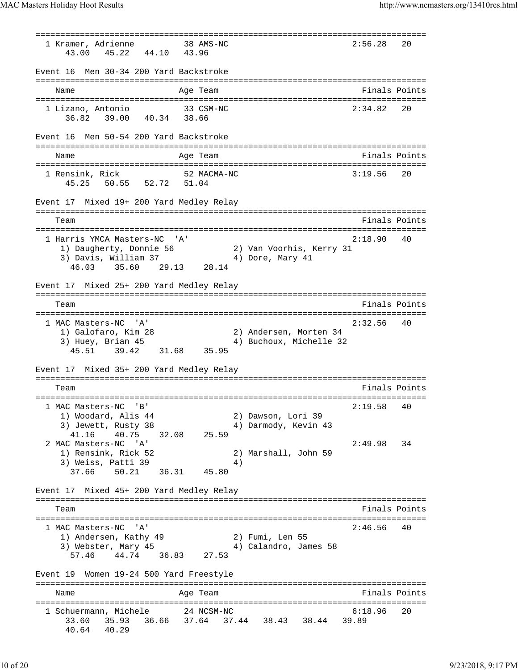=============================================================================== 1 Kramer, Adrienne 38 AMS-NC 43.00 45.22 44.10 43.96 Event 16 Men 30-34 200 Yard Backstroke =============================================================================== Name Age Team Finals Points =============================================================================== 1 Lizano, Antonio 33 CSM-NC 2:34.82 20 36.82 39.00 40.34 38.66 Event 16 Men 50-54 200 Yard Backstroke =============================================================================== Name **Age Team** Age Team **Finals Points** =============================================================================== 1 Rensink, Rick 52 MACMA-NC 3:19.56 20 45.25 50.55 52.72 51.04 Event 17 Mixed 19+ 200 Yard Medley Relay =============================================================================== Team Finals Points =============================================================================== 1 Harris YMCA Masters-NC 'A' 2:18.90 40 1) Daugherty, Donnie 56 2) Van Voorhis, Kerry 31 3) Davis, William 37 4) Dore, Mary 41 46.03 35.60 29.13 28.14 Event 17 Mixed 25+ 200 Yard Medley Relay =============================================================================== Team Finals Points =============================================================================== 1 MAC Masters-NC 'A' 2:32.56 40 1) Galofaro, Kim 28 2) Andersen, Morten 34 3) Huey, Brian 45 4) Buchoux, Michelle 32 45.51 39.42 31.68 35.95 Event 17 Mixed 35+ 200 Yard Medley Relay =============================================================================== Finals Points =============================================================================== 1 MAC Masters-NC 'B' 2:19.58 40 1) Woodard, Alis 44 2) Dawson, Lori 39 3) Jewett, Rusty 38 4) Darmody, Kevin 43 41.16 40.75 32.08 25.59 2 MAC Masters-NC 'A' 2:49.98 34 1) Rensink, Rick 52<br>
1) Rensink, Rick 52 2) Marshall, John 59  $3)$  Weiss, Patti  $39$   $4)$  37.66 50.21 36.31 45.80 Event 17 Mixed 45+ 200 Yard Medley Relay =============================================================================== Team Finals Points =============================================================================== 1 MAC Masters-NC 'A' 2:46.56 40 1) Andersen, Kathy 49 2) Fumi, Len 55 3) Webster, Mary 45 4) Calandro, James 58 57.46 44.74 36.83 27.53 Event 19 Women 19-24 500 Yard Freestyle =============================================================================== Name Age Team Age Team Finals Points =============================================================================== 1 Schuermann, Michele 24 NCSM-NC 6:18.96 20 33.60 35.93 36.66 37.64 37.44 38.43 38.44 39.89 40.64 40.29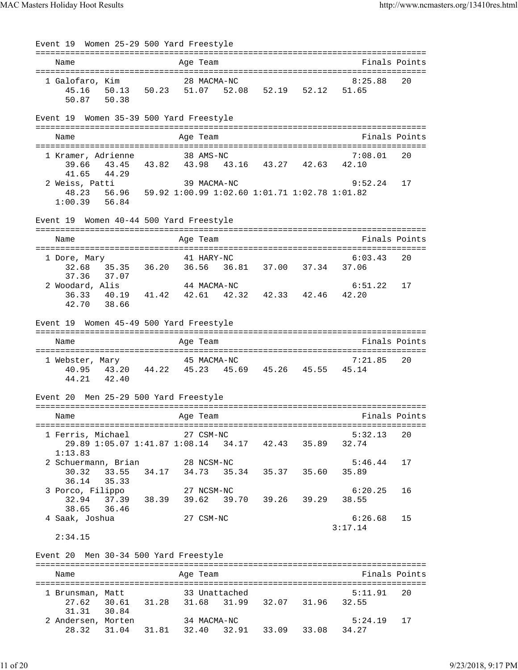Event 19 Women 25-29 500 Yard Freestyle =============================================================================== Name **Age Team** Age Team Finals Points =============================================================================== 1 Galofaro, Kim 28 MACMA-NC 8:25.88 20 45.16 50.13 50.23 51.07 52.08 52.19 52.12 51.65 50.87 50.38 Event 19 Women 35-39 500 Yard Freestyle =============================================================================== Name **Age Team** Age Team **Finals Points** Points =============================================================================== 1 Kramer, Adrienne 38 AMS-NC 7:08.01 20 39.66 43.45 43.82 43.98 43.16 43.27 42.63 42.10 41.65 44.29 2 Weiss, Patti 39 MACMA-NC 9:52.24 17 48.23 56.96 59.92 1:00.99 1:02.60 1:01.71 1:02.78 1:01.82 1:00.39 56.84 Event 19 Women 40-44 500 Yard Freestyle =============================================================================== Name **Age Team Age Team** Rinals Points =============================================================================== 1 Dore, Mary 41 HARY-NC 6:03.43 20 32.68 35.35 36.20 36.56 36.81 37.00 37.34 37.06 37.36 37.07 2 Woodard, Alis 44 MACMA-NC 6:51.22 17 36.33 40.19 41.42 42.61 42.32 42.33 42.46 42.20 42.70 38.66 Event 19 Women 45-49 500 Yard Freestyle =============================================================================== Name Age Team Finals Points =============================================================================== 1 Webster, Mary 45 MACMA-NC 7:21.85 20 40.95 43.20 44.22 45.23 45.69 45.26 45.55 45.14 44.21 42.40 Event 20 Men 25-29 500 Yard Freestyle =============================================================================== Age Team entitled and the Second Points Points =============================================================================== 1 Ferris, Michael 27 CSM-NC 5:32.13 20 29.89 1:05.07 1:41.87 1:08.14 34.17 42.43 35.89 32.74 1:13.83 2 Schuermann, Brian 28 NCSM-NC 5:46.44 17 30.32 33.55 34.17 34.73 35.34 35.37 35.60 35.89 36.14 35.33 3 Porco, Filippo 27 NCSM-NC 6:20.25 16 32.94 37.39 38.39 39.62 39.70 39.26 39.29 38.55 38.65 36.46 4 Saak, Joshua 27 CSM-NC 6:26.68 15 3:17.14 2:34.15 Event 20 Men 30-34 500 Yard Freestyle =============================================================================== Name **Age Team** Age Team Finals Points =============================================================================== 1 Brunsman, Matt 33 Unattached 5:11.91 20 27.62 30.61 31.28 31.68 31.99 32.07 31.96 32.55 31.31 30.84 2 Andersen, Morten 34 MACMA-NC 5:24.19 17 28.32 31.04 31.81 32.40 32.91 33.09 33.08 34.27

11 of 20 9/23/2018, 9:17 PM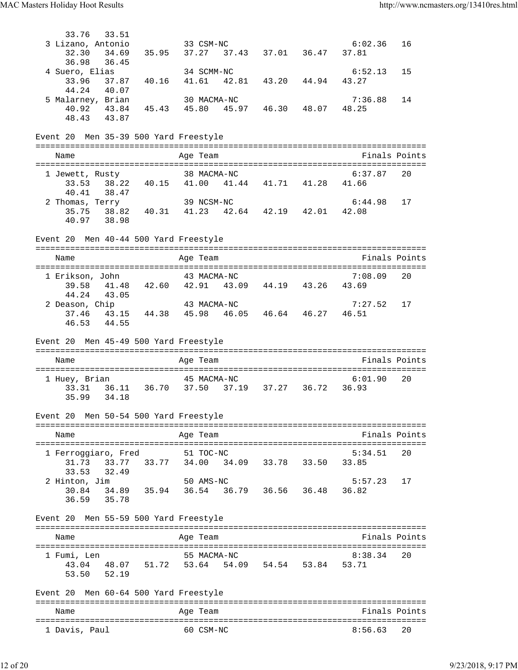33.76 33.51<br>3 Lizano, Antonio 3 Lizano, Antonio 33 CSM-NC 6:02.36 16 32.30 34.69 35.95 37.27 37.43 37.01 36.47 37.81 36.98 36.45 4 Suero, Elias 34 SCMM-NC 6:52.13 15 33.96 37.87 40.16 41.61 42.81 43.20 44.94 43.27 44.24 40.07 5 Malarney, Brian 30 MACMA-NC 7:36.88 14 40.92 43.84 45.43 45.80 45.97 46.30 48.07 48.25 48.43 43.87 Event 20 Men 35-39 500 Yard Freestyle =============================================================================== Name **Age Team** Age Team **Finals Points** =============================================================================== 1 Jewett, Rusty 38 MACMA-NC 6:37.87 20 33.53 38.22 40.15 41.00 41.44 41.71 41.28 41.66 40.41 38.47 2 Thomas, Terry 39 NCSM-NC 6:44.98 17 35.75 38.82 40.31 41.23 42.64 42.19 42.01 42.08 40.97 38.98 Event 20 Men 40-44 500 Yard Freestyle =============================================================================== Age Team  $\qquad \qquad$  Finals Points =============================================================================== 1 Erikson, John 43 MACMA-NC 7:08.09 20 39.58 41.48 42.60 42.91 43.09 44.19 43.26 43.69 44.24 43.05 44.24 43.05<br>
2 Deason, Chip 43 MACMA-NC 7:27.52 17 37.46 43.15 44.38 45.98 46.05 46.64 46.27 46.51 46.53 44.55 Event 20 Men 45-49 500 Yard Freestyle =============================================================================== Name **Age Team** Age Team Finals Points =============================================================================== 1 Huey, Brian 45 MACMA-NC 6:01.90 20 33.31 36.11 36.70 37.50 37.19 37.27 36.72 36.93 35.99 34.18 Event 20 Men 50-54 500 Yard Freestyle =============================================================================== Name **Age Team Age Team** Rinals Points =============================================================================== 1 Ferroggiaro, Fred 51 TOC-NC 5:34.51 20 31.73 33.77 33.77 34.00 34.09 33.78 33.50 33.85 33.53 32.49<br>2 Hinton, Jim 2 Hinton, Jim 50 AMS-NC 5:57.23 17 30.84 34.89 35.94 36.54 36.79 36.56 36.48 36.82 36.59 35.78 Event 20 Men 55-59 500 Yard Freestyle =============================================================================== Name Age Team Finals Points =============================================================================== 1 Fumi, Len 55 MACMA-NC 8:38.34 20 43.04 48.07 51.72 53.64 54.09 54.54 53.84 53.71 53.50 52.19 Event 20 Men 60-64 500 Yard Freestyle =============================================================================== Name **Age Team** Age Team Finals Points =============================================================================== 1 Davis, Paul 60 CSM-NC 8:56.63 20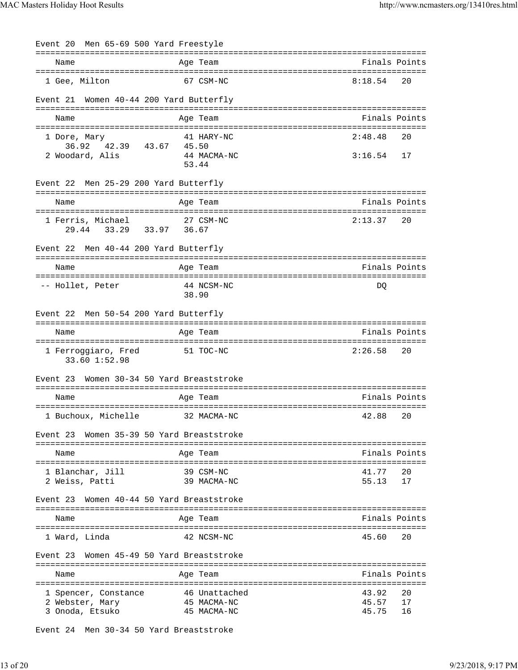| Event 20 Men 65-69 500 Yard Freestyle        |            |                            |                |               |
|----------------------------------------------|------------|----------------------------|----------------|---------------|
| Name                                         |            | Age Team                   |                | Finals Points |
| 1 Gee, Milton                                |            | 67 CSM-NC                  | 8:18.54        | 20            |
| Women 40-44 200 Yard Butterfly<br>Event 21   |            |                            |                |               |
| Name                                         |            | Age Team                   |                | Finals Points |
| 1 Dore, Mary<br>36.92 42.39 43.67            | 45.50      | 41 HARY-NC                 | 2:48.48        | 20            |
| 2 Woodard, Alis                              |            | 44 MACMA-NC<br>53.44       | $3:16.54$ 17   |               |
| Event 22 Men 25-29 200 Yard Butterfly        |            |                            |                |               |
| Name                                         |            | Age Team                   |                | Finals Points |
| 1 Ferris, Michael<br>29.44 33.29 33.97 36.67 |            | 27 CSM-NC                  | 2:13.37        | 20            |
| Event 22 Men 40-44 200 Yard Butterfly        |            |                            |                |               |
| Name                                         |            | Age Team                   |                | Finals Points |
| -- Hollet, Peter                             |            | 44 NCSM-NC<br>38.90        | DO             |               |
| Event 22 Men 50-54 200 Yard Butterfly        |            |                            |                |               |
| Name                                         |            | Age Team                   |                | Finals Points |
| 1 Ferroggiaro, Fred<br>33.60 1:52.98         |            | 51 TOC-NC                  | 2:26.58        | 20            |
| Event 23 Women 30-34 50 Yard Breaststroke    |            |                            |                |               |
| Name                                         |            | Age Team                   |                | Finals Points |
| 1 Buchoux, Michelle                          |            | 32 MACMA-NC                | 42.88          | 20            |
| Event 23 Women 35-39 50 Yard Breaststroke    |            | -------------------------  |                |               |
| Name                                         |            | Age Team                   |                | Finals Points |
| 1 Blanchar, Jill<br>2 Weiss, Patti           |            | 39 CSM-NC<br>39 MACMA-NC   | 41.77<br>55.13 | 20<br>17      |
| Women 40-44 50 Yard Breaststroke<br>Event 23 |            |                            |                |               |
| Name                                         |            | Age Team                   |                | Finals Points |
| 1 Ward, Linda                                |            | 42 NCSM-NC                 | 45.60          | 20            |
| Women 45-49 50 Yard Breaststroke<br>Event 23 |            |                            |                |               |
| Name                                         | ---------- | Age Team                   |                | Finals Points |
| 1 Spencer, Constance                         |            | 46 Unattached              | 43.92          | 20            |
| 2 Webster, Mary<br>3 Onoda, Etsuko           |            | 45 MACMA-NC<br>45 MACMA-NC | 45.57<br>45.75 | 17<br>16      |

Event 24 Men 30-34 50 Yard Breaststroke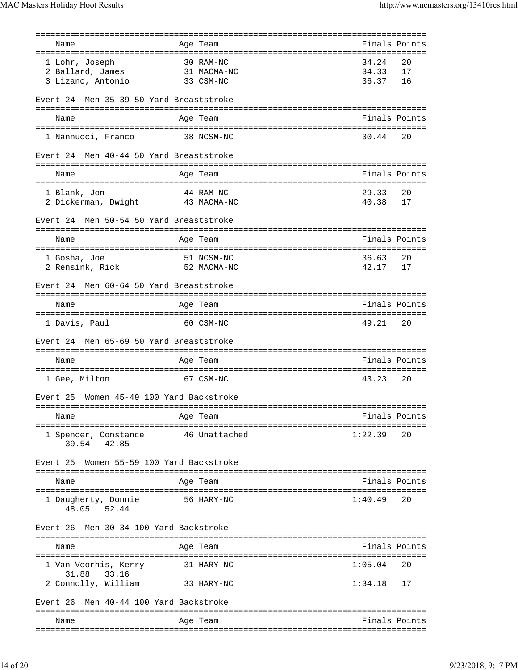| Name                                        | Age Team                              |         | Finals Points |
|---------------------------------------------|---------------------------------------|---------|---------------|
| ======================================      | ===================================== |         |               |
| 1 Lohr, Joseph                              | 30 RAM-NC                             | 34.24   | 20            |
| 2 Ballard, James                            | 31 MACMA-NC                           | 34.33   | 17            |
| 3 Lizano, Antonio                           | 33 CSM-NC                             | 36.37   | 16            |
|                                             |                                       |         |               |
| Men 35-39 50 Yard Breaststroke<br>Event 24  |                                       |         |               |
|                                             |                                       |         | Finals Points |
| Name                                        | Age Team                              |         |               |
| 1 Nannucci, Franco                          | 38 NCSM-NC                            | 30.44   | 20            |
|                                             |                                       |         |               |
| Men 40-44 50 Yard Breaststroke<br>Event 24  |                                       |         |               |
| Name                                        | Age Team                              |         | Finals Points |
| 1 Blank, Jon                                | 44 RAM-NC                             | 29.33   | 20            |
| 2 Dickerman, Dwight 43 MACMA-NC             |                                       | 40.38   | 17            |
|                                             |                                       |         |               |
| Men 50-54 50 Yard Breaststroke<br>Event 24  |                                       |         |               |
| Name                                        | Age Team                              |         | Finals Points |
|                                             |                                       |         |               |
| 1 Gosha, Joe                                | 51 NCSM-NC                            | 36.63   | 20            |
| 2 Rensink, Rick                             | 52 MACMA-NC                           | 42.17   | 17            |
|                                             |                                       |         |               |
| Men 60-64 50 Yard Breaststroke<br>Event 24  |                                       |         |               |
| Name                                        | Age Team                              |         | Finals Points |
|                                             |                                       |         |               |
|                                             |                                       | 49.21   | 20            |
| 1 Davis, Paul                               | 60 CSM-NC                             |         |               |
| Men 65-69 50 Yard Breaststroke<br>Event 24  |                                       |         |               |
|                                             |                                       |         |               |
| Name                                        | Age Team                              |         | Finals Points |
|                                             |                                       |         |               |
| 1 Gee, Milton                               | 67 CSM-NC                             | 43.23   | 20            |
|                                             |                                       |         |               |
| Women 45-49 100 Yard Backstroke<br>Event 25 |                                       |         |               |
| ===========================                 |                                       |         |               |
| Name                                        | Age Team                              |         | Finals Points |
| 1 Spencer, Constance<br>39.54 42.85         | 46 Unattached                         | 1:22.39 | 20            |
| Women 55-59 100 Yard Backstroke<br>Event 25 |                                       |         |               |
|                                             |                                       |         |               |
| Name                                        | Age Team                              |         | Finals Points |
| 1 Daugherty, Donnie<br>48.05 52.44          | 56 HARY-NC                            | 1:40.49 | 20            |
|                                             |                                       |         |               |
| Men 30-34 100 Yard Backstroke<br>Event 26   |                                       |         |               |
|                                             |                                       |         |               |
| Name                                        | Age Team                              |         | Finals Points |
|                                             |                                       | 1:05.04 | 20            |
| 1 Van Voorhis, Kerry<br>31.88 33.16         | 31 HARY-NC                            |         |               |
|                                             | 33 HARY-NC                            | 1:34.18 | 17            |
| 2 Connolly, William                         |                                       |         |               |
| Men 40-44 100 Yard Backstroke<br>Event 26   |                                       |         |               |
| Name                                        | Age Team                              |         | Finals Points |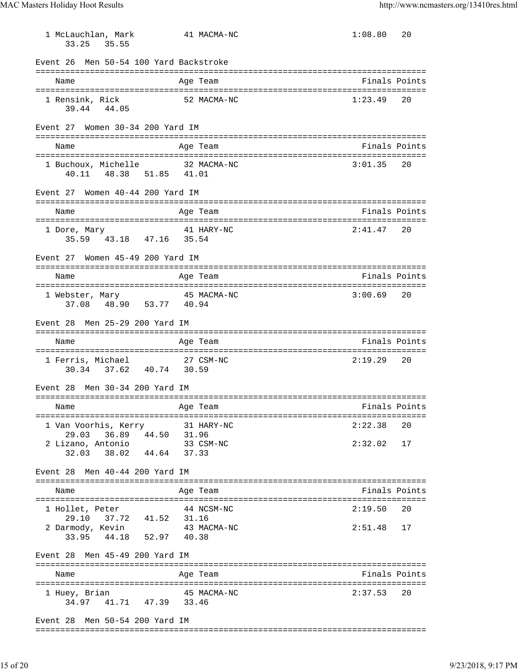1 McLauchlan, Mark 41 MACMA-NC 1:08.80 20 33.25 35.55 Event 26 Men 50-54 100 Yard Backstroke =============================================================================== Name Age Team Age Team Finals Points =============================================================================== 1 Rensink, Rick 52 MACMA-NC 1:23.49 20 39.44 44.05 Event 27 Women 30-34 200 Yard IM =============================================================================== Name Age Team Age Team Finals Points =============================================================================== 1 Buchoux, Michelle 32 MACMA-NC 40.11 48.38 51.85 41.01 Event 27 Women 40-44 200 Yard IM =============================================================================== Name Age Team Finals Points =============================================================================== 1 Dore, Mary 41 HARY-NC 2:41.47 20 35.59 43.18 47.16 35.54 Event 27 Women 45-49 200 Yard IM =============================================================================== Name Age Team Finals Points =============================================================================== 1 Webster, Mary 45 MACMA-NC 3:00.69 20 37.08 48.90 53.77 40.94 Event 28 Men 25-29 200 Yard IM =============================================================================== Name Age Team Finals Points =============================================================================== 1 Ferris, Michael 27 CSM-NC 2:19.29 20 30.34 37.62 40.74 30.59 Event 28 Men 30-34 200 Yard IM =============================================================================== Name **Age Team** Age Team Finals Points =============================================================================== 1 Van Voorhis, Kerry 31 HARY-NC 2:22.38 20 29.03 36.89 44.50 31.96 2 Lizano, Antonio 33 CSM-NC 2:32.02 17 32.03 38.02 44.64 37.33 Event 28 Men 40-44 200 Yard IM =============================================================================== Name Age Team Age Team Finals Points =============================================================================== 1 Hollet, Peter 44 NCSM-NC 2:19.50 20 29.10 37.72 41.52 31.16 2 Darmody, Kevin 43 MACMA-NC 2:51.48 17 33.95 44.18 52.97 40.38 Event 28 Men 45-49 200 Yard IM =============================================================================== Name **Age Team Age Team** Rinals Points =============================================================================== 1 Huey, Brian 45 MACMA-NC 34.97 41.71 47.39 33.46 Event 28 Men 50-54 200 Yard IM

===============================================================================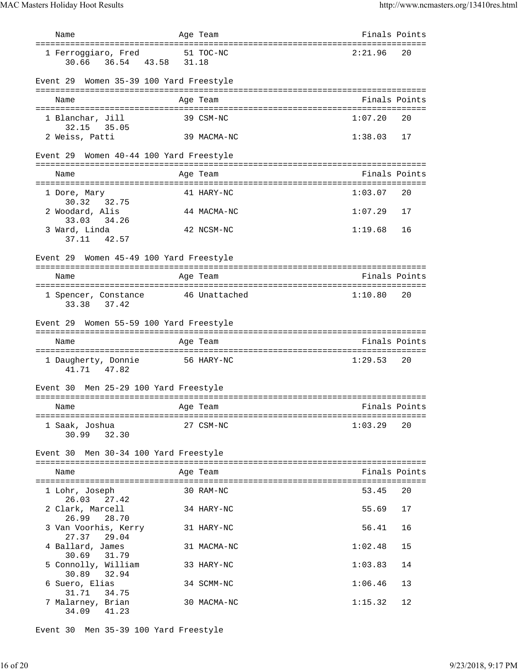| Name                                                                               |       | Age Team                                                                                                        | Finals Points |    |
|------------------------------------------------------------------------------------|-------|-----------------------------------------------------------------------------------------------------------------|---------------|----|
| ===================================<br>1 Ferroggiaro, Fred<br>36.54 43.58<br>30.66 | 31.18 | ================================<br>51 TOC-NC                                                                   | 2:21.96       | 20 |
| Event 29 Women 35-39 100 Yard Freestyle                                            |       |                                                                                                                 |               |    |
| Name                                                                               |       | Age Team                                                                                                        | Finals Points |    |
| 1 Blanchar, Jill                                                                   |       | 39 CSM-NC                                                                                                       | 1:07.20       | 20 |
| 32.15 35.05<br>2 Weiss, Patti                                                      |       | 39 MACMA-NC                                                                                                     | 1:38.03       | 17 |
| Event 29 Women 40-44 100 Yard Freestyle                                            |       |                                                                                                                 |               |    |
| Name                                                                               |       | Age Team                                                                                                        | Finals Points |    |
| 1 Dore, Mary                                                                       |       | 41 HARY-NC                                                                                                      | 1:03.07       | 20 |
| 32.75<br>30.32<br>2 Woodard, Alis                                                  |       | 44 MACMA-NC                                                                                                     | 1:07.29       | 17 |
| 33.03 34.26<br>3 Ward, Linda<br>37.11<br>42.57                                     |       | 42 NCSM-NC                                                                                                      | 1:19.68       | 16 |
| Event 29 Women 45-49 100 Yard Freestyle                                            |       |                                                                                                                 |               |    |
| Name                                                                               |       | Age Team                                                                                                        | Finals Points |    |
|                                                                                    |       |                                                                                                                 |               |    |
| 1 Spencer, Constance<br>33.38 37.42                                                |       | 46 Unattached                                                                                                   | 1:10.80       | 20 |
| Event 29 Women 55-59 100 Yard Freestyle                                            |       |                                                                                                                 |               |    |
| Name                                                                               |       | Age Team                                                                                                        | Finals Points |    |
| 1 Daugherty, Donnie<br>41.71 47.82                                                 |       | 56 HARY-NC                                                                                                      | 1:29.53       | 20 |
| Event 30 Men 25-29 100 Yard Freestyle                                              |       |                                                                                                                 |               |    |
| Name<br>and the Magnetic Preasurer and the Team                                    |       | manager of the state of the state of the state of the state of the state of the state of the state of the state |               |    |
| 1 Saak, Joshua<br>30.99 32.30                                                      |       | 27 CSM-NC                                                                                                       | 1:03.29       | 20 |
| Event 30 Men 30-34 100 Yard Freestyle                                              |       |                                                                                                                 |               |    |
| Name                                                                               |       | Age Team                                                                                                        | Finals Points |    |
| 1 Lohr, Joseph                                                                     |       | 30 RAM-NC                                                                                                       | 53.45         | 20 |
| 26.03 27.42<br>2 Clark, Marcell                                                    |       | 34 HARY-NC                                                                                                      | 55.69         | 17 |
| 26.99 28.70<br>3 Van Voorhis, Kerry<br>27.37 29.04                                 |       | 31 HARY-NC                                                                                                      | 56.41         | 16 |
| 4 Ballard, James<br>30.69<br>31.79                                                 |       | 31 MACMA-NC                                                                                                     | 1:02.48       | 15 |
| 5 Connolly, William<br>30.89<br>32.94                                              |       | 33 HARY-NC                                                                                                      | 1:03.83       | 14 |
| 6 Suero, Elias<br>31.71<br>34.75                                                   |       | 34 SCMM-NC                                                                                                      | 1:06.46       | 13 |
| 7 Malarney, Brian<br>41.23<br>34.09                                                |       | 30 MACMA-NC                                                                                                     | 1:15.32       | 12 |

Event 30 Men 35-39 100 Yard Freestyle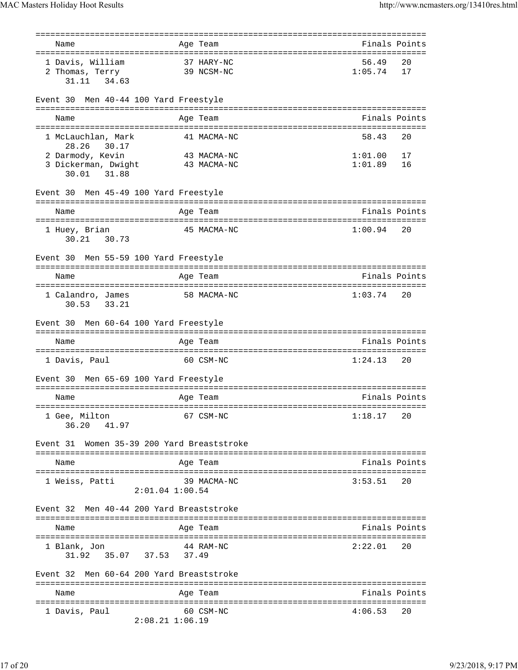| :=====================<br>==================== |                                                    |               |    |
|------------------------------------------------|----------------------------------------------------|---------------|----|
| Name                                           | Age Team<br>====================================== | Finals Points |    |
| 1 Davis, William                               | 37 HARY-NC                                         | 56.49         | 20 |
| 2 Thomas, Terry                                | 39 NCSM-NC                                         | 1:05.74       | 17 |
| 31.11<br>34.63                                 |                                                    |               |    |
|                                                |                                                    |               |    |
| Men 40-44 100 Yard Freestyle<br>Event 30       |                                                    |               |    |
| Name                                           | Age Team                                           | Finals Points |    |
|                                                |                                                    | 58.43         |    |
| 1 McLauchlan, Mark<br>28.26<br>30.17           | 41 MACMA-NC                                        |               | 20 |
| 2 Darmody, Kevin                               | 43 MACMA-NC                                        | 1:01.00       | 17 |
| 3 Dickerman, Dwight                            | 43 MACMA-NC                                        | 1:01.89       | 16 |
| 31.88<br>30.01                                 |                                                    |               |    |
| Men 45-49 100 Yard Freestyle<br>Event 30       |                                                    |               |    |
| Name                                           | Age Team                                           | Finals Points |    |
|                                                |                                                    |               |    |
| 1 Huey, Brian                                  | 45 MACMA-NC                                        | 1:00.94       | 20 |
| 30.73<br>30.21                                 |                                                    |               |    |
| Men 55-59 100 Yard Freestyle<br>Event 30       |                                                    |               |    |
|                                                |                                                    | Finals Points |    |
| Name                                           | Age Team                                           |               |    |
| 1 Calandro, James                              | 58 MACMA-NC                                        | 1:03.74       | 20 |
| 33.21<br>30.53                                 |                                                    |               |    |
|                                                |                                                    |               |    |
| Men 60-64 100 Yard Freestyle<br>Event 30       |                                                    |               |    |
| Name                                           | Age Team                                           | Finals Points |    |
| 1 Davis, Paul                                  | 60 CSM-NC                                          | 1:24.13       | 20 |
|                                                |                                                    |               |    |
| Men 65-69 100 Yard Freestyle<br>Event 30       |                                                    |               |    |
| Name                                           | Age Team                                           | Finals Points |    |
| ======================================         |                                                    |               |    |
| 1 Gee, Milton                                  | 67 CSM-NC                                          | 1:18.17       | 20 |
| 36.20<br>41.97                                 |                                                    |               |    |
| Women 35-39 200 Yard Breaststroke<br>Event 31  |                                                    |               |    |
|                                                |                                                    |               |    |
| Name                                           | Age Team                                           | Finals Points |    |
| 1 Weiss, Patti                                 | 39 MACMA-NC                                        | 3:53.51       | 20 |
| $2:01.04$ $1:00.54$                            |                                                    |               |    |
|                                                |                                                    |               |    |
| Event 32<br>Men 40-44 200 Yard Breaststroke    |                                                    |               |    |
| Name                                           | Age Team                                           | Finals Points |    |
|                                                |                                                    |               |    |
| 1 Blank, Jon                                   | 44 RAM-NC                                          | 2:22.01       | 20 |
| 35.07 37.53 37.49<br>31.92                     |                                                    |               |    |
|                                                |                                                    |               |    |
| Men 60-64 200 Yard Breaststroke<br>Event 32    |                                                    |               |    |
| Name                                           | Age Team                                           | Finals Points |    |
|                                                |                                                    |               |    |
| 1 Davis, Paul                                  | 60 CSM-NC                                          | 4:06.53       | 20 |
| $2:08.21$ $1:06.19$                            |                                                    |               |    |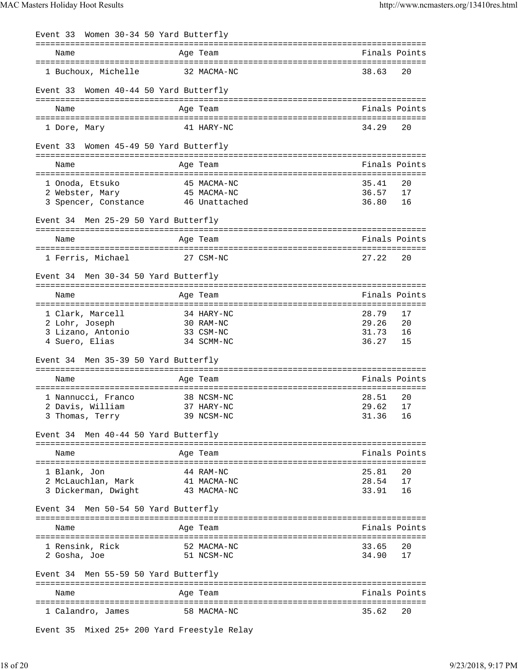| Event 33 Women 30-34 50 Yard Butterfly |             |          |               |
|----------------------------------------|-------------|----------|---------------|
| Name                                   | Age Team    |          | Finals Points |
| 1 Buchoux, Michelle                    | 32 MACMA-NC | 38.63    | 20            |
| Event 33 Women 40-44 50 Yard Butterfly |             |          |               |
| Name                                   | Age Team    |          | Finals Points |
| 1 Dore, Mary                           | 41 HARY-NC  | 34.29    | 20            |
| Event 33 Women 45-49 50 Yard Butterfly |             |          |               |
| Name                                   | Age Team    |          | Finals Points |
| 1 Onoda, Etsuko                        | 45 MACMA-NC | 35.41    | 20            |
| 45 MACMA-NC<br>2 Webster, Mary         |             | 36.57    | 17            |
| 3 Spencer, Constance 46 Unattached     |             | 36.80    | 16            |
| Event 34 Men 25-29 50 Yard Butterfly   |             |          |               |
|                                        |             |          |               |
| Name                                   | Age Team    |          | Finals Points |
| 1 Ferris, Michael                      | 27 CSM-NC   | 27.22    | 20            |
| Event 34 Men 30-34 50 Yard Butterfly   |             |          |               |
| Name                                   | Age Team    |          | Finals Points |
| 1 Clark, Marcell                       | 34 HARY-NC  | 28.79    | 17            |
| 2 Lohr, Joseph                         | 30 RAM-NC   | 29.26    | 20            |
| 3 Lizano, Antonio<br>33 CSM-NC         |             | 31.73    | 16            |
| 4 Suero, Elias                         | 34 SCMM-NC  | 36.27    | 15            |
| Event 34 Men 35-39 50 Yard Butterfly   |             |          |               |
|                                        |             |          |               |
| Name                                   | Age Team    |          | Finals Points |
|                                        |             |          |               |
| 1 Nannucci, Franco                     | 38 NCSM-NC  | 28.51    | 20            |
| 2 Davis, William 37 HARY-NC            |             | 29.62 17 |               |
| 3 Thomas, Terry                        | 39 NCSM-NC  | 31.36    | 16            |
| Event 34 Men 40-44 50 Yard Butterfly   |             |          |               |
| Name                                   | Age Team    |          | Finals Points |
|                                        |             |          |               |
| 1 Blank, Jon                           | 44 RAM-NC   | 25.81    | 20            |
| 2 McLauchlan, Mark                     | 41 MACMA-NC | 28.54    | 17            |
| 3 Dickerman, Dwight                    | 43 MACMA-NC | 33.91    | 16            |
| Event 34 Men 50-54 50 Yard Butterfly   |             |          |               |
| Name                                   | Age Team    |          | Finals Points |
|                                        |             |          |               |
| 1 Rensink, Rick                        | 52 MACMA-NC | 33.65    | 20            |
| 2 Gosha, Joe                           | 51 NCSM-NC  | 34.90    | 17            |
| Event 34 Men 55-59 50 Yard Butterfly   |             |          |               |
|                                        |             |          |               |
| Name                                   | Age Team    |          | Finals Points |
| 1 Calandro, James                      | 58 MACMA-NC | 35.62    | 20            |

Event 35 Mixed 25+ 200 Yard Freestyle Relay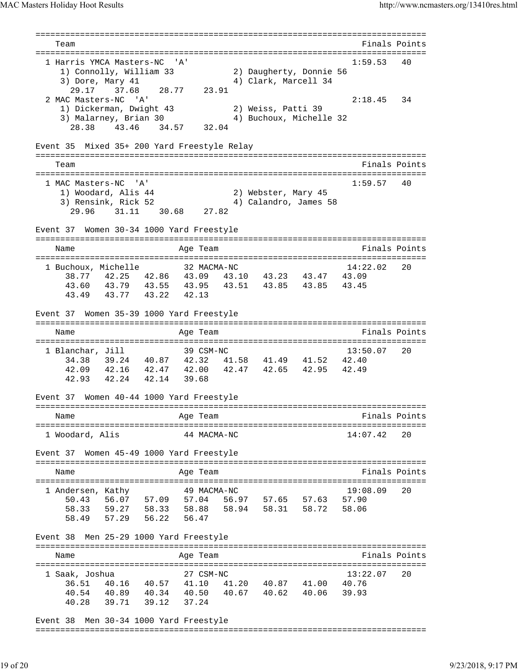=============================================================================== Team Finals Points =============================================================================== 1 Harris YMCA Masters-NC 'A' 1:59.53 40 1) Connolly, William 33 2) Daugherty, Donnie 56 3) Dore, Mary 41 4) Clark, Marcell 34 29.17 37.68 28.77 23.91 2 MAC Masters-NC 'A' 2:18.45 34 1) Dickerman, Dwight 43 2) Weiss, Patti 39 3) Malarney, Brian 30 4) Buchoux, Michelle 32 28.38 43.46 34.57 32.04 Event 35 Mixed 35+ 200 Yard Freestyle Relay =============================================================================== Team Finals Points =============================================================================== 1 MAC Masters-NC 'A' 1:59.57 40 1) Woodard, Alis 44 2) Webster, Mary 45 3) Rensink, Rick 52 4) Calandro, James 58 29.96 31.11 30.68 27.82 Event 37 Women 30-34 1000 Yard Freestyle =============================================================================== Name Age Team Age Team Finals Points =============================================================================== 1 Buchoux, Michelle 32 MACMA-NC 14:22.02 20 38.77 42.25 42.86 43.09 43.10 43.23 43.47 43.09 43.60 43.79 43.55 43.95 43.51 43.85 43.85 43.45 43.49 43.77 43.22 42.13 Event 37 Women 35-39 1000 Yard Freestyle =============================================================================== Name Age Team Age Team Finals Points =============================================================================== 1 Blanchar, Jill 39 CSM-NC 13:50.07 20 34.38 39.24 40.87 42.32 41.58 41.49 41.52 42.40 42.09 42.16 42.47 42.00 42.47 42.65 42.95 42.49 42.93 42.24 42.14 39.68 Event 37 Women 40-44 1000 Yard Freestyle =============================================================================== Age Team  $\qquad \qquad$  Finals Points =============================================================================== 1 Woodard, Alis 44 MACMA-NC 14:07.42 20 Event 37 Women 45-49 1000 Yard Freestyle =============================================================================== Name **Age Team** Age Team **Finals Points** =============================================================================== 1 Andersen, Kathy 49 MACMA-NC 19:08.09 20 50.43 56.07 57.09 57.04 56.97 57.65 57.63 57.90 58.33 59.27 58.33 58.88 58.94 58.31 58.72 58.06 58.49 57.29 56.22 56.47 Event 38 Men 25-29 1000 Yard Freestyle =============================================================================== Name Age Team Age Team Finals Points =============================================================================== 1 Saak, Joshua 27 CSM-NC 13:22.07 20 36.51 40.16 40.57 41.10 41.20 40.87 41.00 40.76 40.54 40.89 40.34 40.50 40.67 40.62 40.06 39.93 40.28 39.71 39.12 37.24 Event 38 Men 30-34 1000 Yard Freestyle

===============================================================================